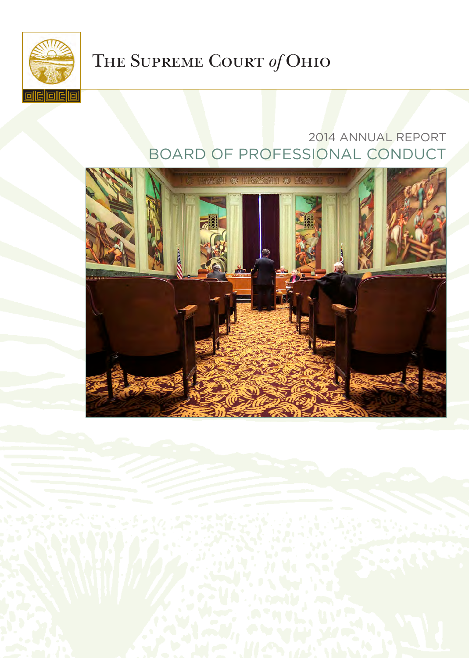

## The Supreme Court *of* Ohio

## BOARD OF PROFESSIONAL CONDUCT 2014 ANNUAL REPORT

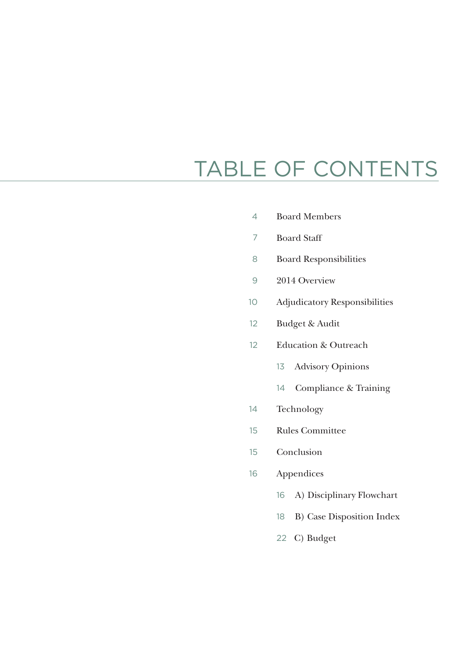## TABLE OF CONTENTS

- Board Members
- Board Staff
- Board Responsibilities
- 2014 Overview
- Adjudicatory Responsibilities
- Budget & Audit
- Education & Outreach
	- Advisory Opinions
	- Compliance & Training
- Technology
- Rules Committee
- Conclusion
- Appendices
	- A) Disciplinary Flowchart
	- B) Case Disposition Index
	- C) Budget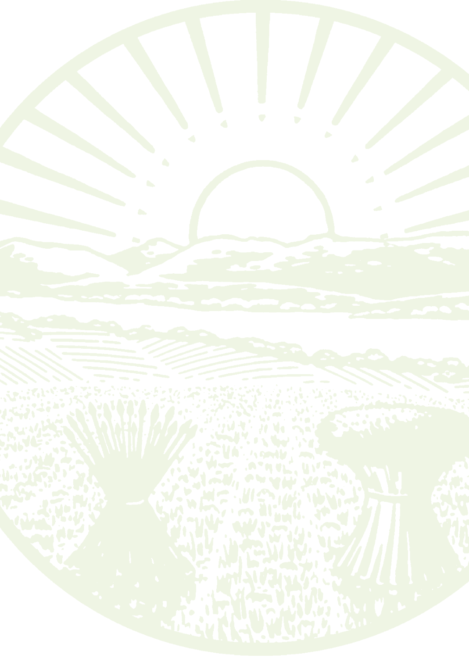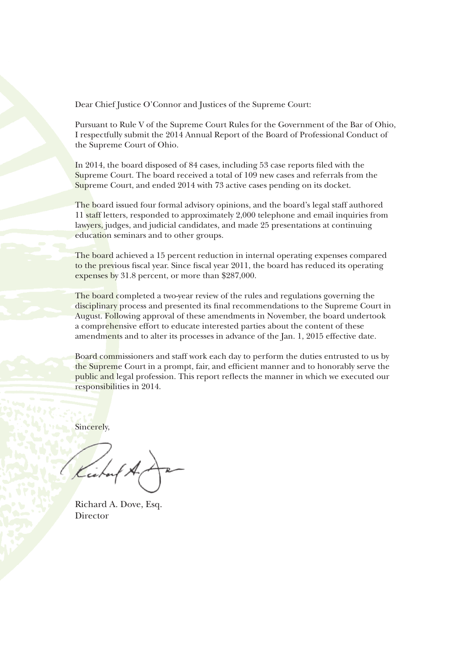Dear Chief Justice O'Connor and Justices of the Supreme Court:

Pursuant to Rule V of the Supreme Court Rules for the Government of the Bar of Ohio, I respectfully submit the 2014 Annual Report of the Board of Professional Conduct of the Supreme Court of Ohio.

In 2014, the board disposed of 84 cases, including 53 case reports filed with the Supreme Court. The board received a total of 109 new cases and referrals from the Supreme Court, and ended 2014 with 73 active cases pending on its docket.

The board issued four formal advisory opinions, and the board's legal staff authored 11 staff letters, responded to approximately 2,000 telephone and email inquiries from lawyers, judges, and judicial candidates, and made 25 presentations at continuing education seminars and to other groups.

The board achieved a 15 percent reduction in internal operating expenses compared to the previous fiscal year. Since fiscal year 2011, the board has reduced its operating expenses by 31.8 percent, or more than \$287,000.

The board completed a two-year review of the rules and regulations governing the disciplinary process and presented its final recommendations to the Supreme Court in August. Following approval of these amendments in November, the board undertook a comprehensive effort to educate interested parties about the content of these amendments and to alter its processes in advance of the Jan. 1, 2015 effective date.

Board commissioners and staff work each day to perform the duties entrusted to us by the Supreme Court in a prompt, fair, and efficient manner and to honorably serve the public and legal profession. This report reflects the manner in which we executed our responsibilities in 2014.

Sincerely,

Richard A. Dove, Esq. **Director**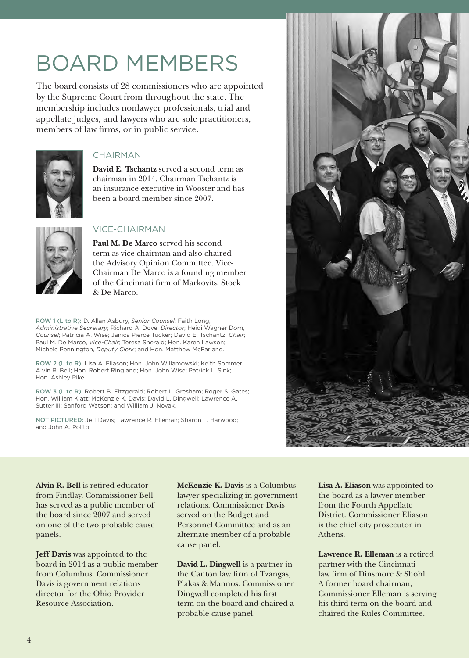## BOARD MEMBERS

The board consists of 28 commissioners who are appointed by the Supreme Court from throughout the state. The membership includes nonlawyer professionals, trial and appellate judges, and lawyers who are sole practitioners, members of law firms, or in public service.



#### CHAIRMAN

**David E. Tschantz** served a second term as chairman in 2014. Chairman Tschantz is an insurance executive in Wooster and has been a board member since 2007.



#### VICE-CHAIRMAN

**Paul M. De Marco** served his second term as vice-chairman and also chaired the Advisory Opinion Committee. Vice-Chairman De Marco is a founding member of the Cincinnati firm of Markovits, Stock & De Marco.

ROW 1 (L to R): D. Allan Asbury, *Senior Counsel*; Faith Long, *Administrative Secretary*; Richard A. Dove, *Director*; Heidi Wagner Dorn, *Counsel*; Patricia A. Wise; Janica Pierce Tucker; David E. Tschantz, *Chair*; Paul M. De Marco, *Vice-Chair*; Teresa Sherald; Hon. Karen Lawson; Michele Pennington, *Deputy Clerk*; and Hon. Matthew McFarland.

ROW 2 (L to R): Lisa A. Eliason; Hon. John Willamowski; Keith Sommer; Alvin R. Bell; Hon. Robert Ringland; Hon. John Wise; Patrick L. Sink; Hon. Ashley Pike.

ROW 3 (L to R): Robert B. Fitzgerald; Robert L. Gresham; Roger S. Gates; Hon. William Klatt; McKenzie K. Davis; David L. Dingwell; Lawrence A. Sutter III; Sanford Watson; and William J. Novak.

NOT PICTURED: Jeff Davis; Lawrence R. Elleman; Sharon L. Harwood; and John A. Polito.



**Alvin R. Bell** is retired educator from Findlay. Commissioner Bell has served as a public member of the board since 2007 and served on one of the two probable cause panels.

**Jeff Davis** was appointed to the board in 2014 as a public member from Columbus. Commissioner Davis is government relations director for the Ohio Provider Resource Association.

**McKenzie K. Davis** is a Columbus lawyer specializing in government relations. Commissioner Davis served on the Budget and Personnel Committee and as an alternate member of a probable cause panel.

**David L. Dingwell** is a partner in the Canton law firm of Tzangas, Plakas & Mannos. Commissioner Dingwell completed his first term on the board and chaired a probable cause panel.

**Lisa A. Eliason** was appointed to the board as a lawyer member from the Fourth Appellate District. Commissioner Eliason is the chief city prosecutor in Athens.

**Lawrence R. Elleman** is a retired partner with the Cincinnati law firm of Dinsmore & Shohl. A former board chairman, Commissioner Elleman is serving his third term on the board and chaired the Rules Committee.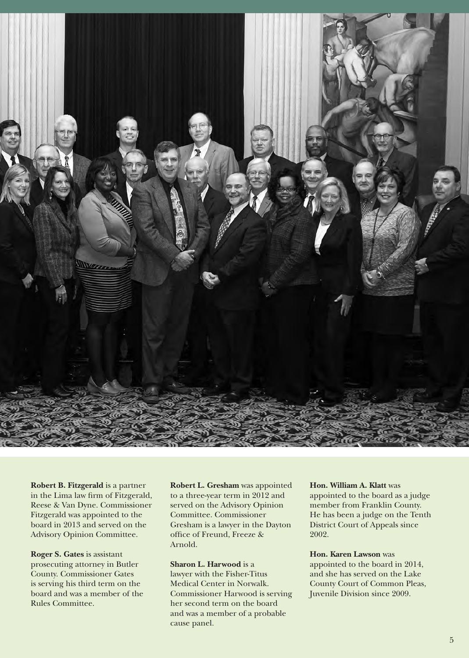

**Robert B. Fitzgerald** is a partner in the Lima law firm of Fitzgerald, Reese & Van Dyne. Commissioner Fitzgerald was appointed to the board in 2013 and served on the Advisory Opinion Committee.

**Roger S. Gates** is assistant prosecuting attorney in Butler County. Commissioner Gates is serving his third term on the board and was a member of the Rules Committee.

**Robert L. Gresham** was appointed to a three-year term in 2012 and served on the Advisory Opinion Committee. Commissioner Gresham is a lawyer in the Dayton office of Freund, Freeze & Arnold.

**Sharon L. Harwood** is a lawyer with the Fisher-Titus Medical Center in Norwalk. Commissioner Harwood is serving her second term on the board and was a member of a probable cause panel.

**Hon. William A. Klatt** was

appointed to the board as a judge member from Franklin County. He has been a judge on the Tenth District Court of Appeals since 2002.

**Hon. Karen Lawson** was appointed to the board in 2014, and she has served on the Lake County Court of Common Pleas, Juvenile Division since 2009.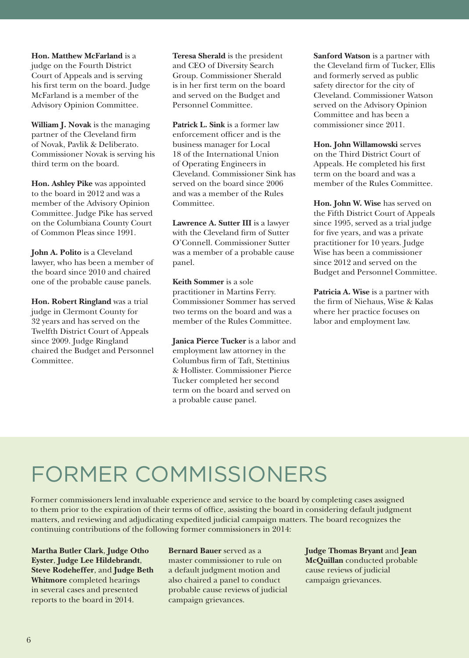**Hon. Matthew McFarland** is a judge on the Fourth District Court of Appeals and is serving his first term on the board. Judge McFarland is a member of the Advisory Opinion Committee.

**William J. Novak** is the managing partner of the Cleveland firm of Novak, Pavlik & Deliberato. Commissioner Novak is serving his third term on the board.

**Hon. Ashley Pike** was appointed to the board in 2012 and was a member of the Advisory Opinion Committee. Judge Pike has served on the Columbiana County Court of Common Pleas since 1991.

**John A. Polito** is a Cleveland lawyer, who has been a member of the board since 2010 and chaired one of the probable cause panels.

**Hon. Robert Ringland** was a trial judge in Clermont County for 32 years and has served on the Twelfth District Court of Appeals since 2009. Judge Ringland chaired the Budget and Personnel Committee.

**Teresa Sherald** is the president and CEO of Diversity Search Group. Commissioner Sherald is in her first term on the board and served on the Budget and Personnel Committee.

**Patrick L. Sink** is a former law enforcement officer and is the business manager for Local 18 of the International Union of Operating Engineers in Cleveland. Commissioner Sink has served on the board since 2006 and was a member of the Rules Committee.

**Lawrence A. Sutter III** is a lawyer with the Cleveland firm of Sutter O'Connell. Commissioner Sutter was a member of a probable cause panel.

**Keith Sommer** is a sole practitioner in Martins Ferry. Commissioner Sommer has served two terms on the board and was a member of the Rules Committee.

**Janica Pierce Tucker** is a labor and employment law attorney in the Columbus firm of Taft, Stettinius & Hollister. Commissioner Pierce Tucker completed her second term on the board and served on a probable cause panel.

**Sanford Watson** is a partner with the Cleveland firm of Tucker, Ellis and formerly served as public safety director for the city of Cleveland. Commissioner Watson served on the Advisory Opinion Committee and has been a commissioner since 2011.

**Hon. John Willamowski** serves on the Third District Court of Appeals. He completed his first term on the board and was a member of the Rules Committee.

**Hon. John W. Wise** has served on the Fifth District Court of Appeals since 1995, served as a trial judge for five years, and was a private practitioner for 10 years. Judge Wise has been a commissioner since 2012 and served on the Budget and Personnel Committee.

**Patricia A. Wise** is a partner with the firm of Niehaus, Wise & Kalas where her practice focuses on labor and employment law.

# FORMER COMMISSIONERS

Former commissioners lend invaluable experience and service to the board by completing cases assigned to them prior to the expiration of their terms of office, assisting the board in considering default judgment matters, and reviewing and adjudicating expedited judicial campaign matters. The board recognizes the continuing contributions of the following former commissioners in 2014:

**Martha Butler Clark**, **Judge Otho Eyster**, **Judge Lee Hildebrandt**, **Steve Rodeheffer**, and **Judge Beth Whitmore** completed hearings in several cases and presented reports to the board in 2014.

**Bernard Bauer** served as a master commissioner to rule on a default judgment motion and also chaired a panel to conduct probable cause reviews of judicial campaign grievances.

**Judge Thomas Bryant** and **Jean McQuillan** conducted probable cause reviews of judicial campaign grievances.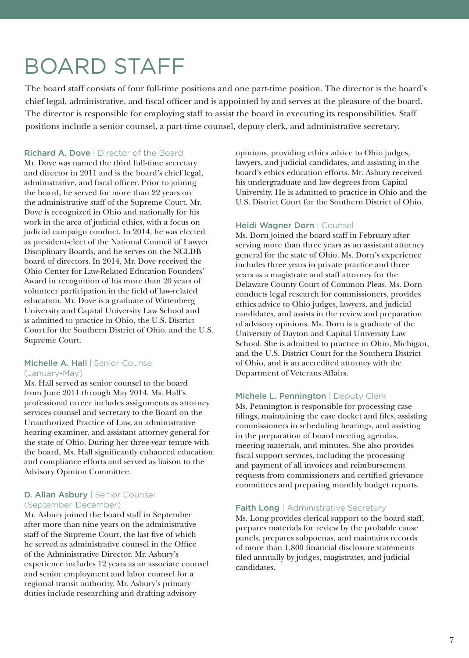## BOARD STAFF

The board staff consists of four full-time positions and one part-time position. The director is the board's chief legal, administrative, and fiscal officer and is appointed by and serves at the pleasure of the board. The director is responsible for employing staff to assist the board in executing its responsibilities. Staff positions include a senior counsel, a part-time counsel, deputy clerk, and administrative secretary.

#### Richard A. Dove | Director of the Board

Mr. Dove was named the third full-time secretary and director in 2011 and is the board's chief legal, administrative, and fiscal officer. Prior to joining the board, he served for more than 22 years on the administrative staff of the Supreme Court. Mr. Dove is recognized in Ohio and nationally for his work in the area of judicial ethics, with a focus on judicial campaign conduct. In 2014, he was elected as president-elect of the National Council of Lawyer Disciplinary Boards, and he serves on the NCLDB board of directors. In 2014, Mr. Dove received the Ohio Center for Law-Related Education Founders' Award in recognition of his more than 20 years of volunteer participation in the field of law-related education. Mr. Dove is a graduate of Wittenberg University and Capital University Law School and is admitted to practice in Ohio, the U.S. District Court for the Southern District of Ohio, and the U.S. Supreme Court.

#### Michelle A. Hall | Senior Counsel (January-May)

Ms. Hall served as senior counsel to the board from June 2011 through May 2014. Ms. Hall's professional career includes assignments as attorney services counsel and secretary to the Board on the Unauthorized Practice of Law, an administrative hearing examiner, and assistant attorney general for the state of Ohio. During her three-year tenure with the board, Ms. Hall significantly enhanced education and compliance efforts and served as liaison to the Advisory Opinion Committee.

#### D. Allan Asbury | Senior Counsel (September-December)

Mr. Asbury joined the board staff in September after more than nine years on the administrative staff of the Supreme Court, the last five of which he served as administrative counsel in the Office of the Administrative Director. Mr. Asbury's experience includes 12 years as an associate counsel and senior employment and labor counsel for a regional transit authority. Mr. Asbury's primary duties include researching and drafting advisory

opinions, providing ethics advice to Ohio judges, lawyers, and judicial candidates, and assisting in the board's ethics education efforts. Mr. Asbury received his undergraduate and law degrees from Capital University. He is admitted to practice in Ohio and the U.S. District Court for the Southern District of Ohio.

#### Heidi Wagner Dorn | Counsel

Ms. Dorn joined the board staff in February after serving more than three years as an assistant attorney general for the state of Ohio. Ms. Dorn's experience includes three years in private practice and three years as a magistrate and staff attorney for the Delaware County Court of Common Pleas. Ms. Dorn conducts legal research for commissioners, provides ethics advice to Ohio judges, lawyers, and judicial candidates, and assists in the review and preparation of advisory opinions. Ms. Dorn is a graduate of the University of Dayton and Capital University Law School. She is admitted to practice in Ohio, Michigan, and the U.S. District Court for the Southern District of Ohio, and is an accredited attorney with the Department of Veterans Affairs.

#### Michele L. Pennington | Deputy Clerk

Ms. Pennington is responsible for processing case filings, maintaining the case docket and files, assisting commissioners in scheduling hearings, and assisting in the preparation of board meeting agendas, meeting materials, and minutes. She also provides fiscal support services, including the processing and payment of all invoices and reimbursement requests from commissioners and certified grievance committees and preparing monthly budget reports.

#### Faith Long | Administrative Secretary

Ms. Long provides clerical support to the board staff, prepares materials for review by the probable cause panels, prepares subpoenas, and maintains records of more than 1,800 financial disclosure statements filed annually by judges, magistrates, and judicial candidates.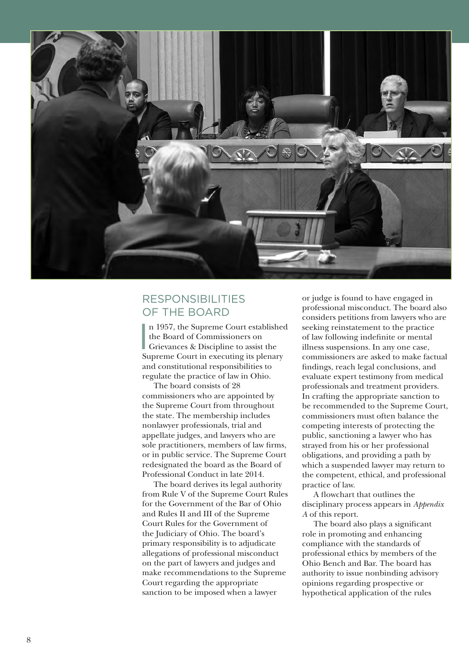

## RESPONSIBILITIES OF THE BOARD

n 1957, the Supreme Court establish<br>the Board of Commissioners on<br>Grievances & Discipline to assist the n 1957, the Supreme Court established the Board of Commissioners on Supreme Court in executing its plenary and constitutional responsibilities to regulate the practice of law in Ohio.

The board consists of 28 commissioners who are appointed by the Supreme Court from throughout the state. The membership includes nonlawyer professionals, trial and appellate judges, and lawyers who are sole practitioners, members of law firms, or in public service. The Supreme Court redesignated the board as the Board of Professional Conduct in late 2014.

The board derives its legal authority from Rule V of the Supreme Court Rules for the Government of the Bar of Ohio and Rules II and III of the Supreme Court Rules for the Government of the Judiciary of Ohio. The board's primary responsibility is to adjudicate allegations of professional misconduct on the part of lawyers and judges and make recommendations to the Supreme Court regarding the appropriate sanction to be imposed when a lawyer

or judge is found to have engaged in professional misconduct. The board also considers petitions from lawyers who are seeking reinstatement to the practice of law following indefinite or mental illness suspensions. In any one case, commissioners are asked to make factual findings, reach legal conclusions, and evaluate expert testimony from medical professionals and treatment providers. In crafting the appropriate sanction to be recommended to the Supreme Court, commissioners must often balance the competing interests of protecting the public, sanctioning a lawyer who has strayed from his or her professional obligations, and providing a path by which a suspended lawyer may return to the competent, ethical, and professional practice of law.

A flowchart that outlines the disciplinary process appears in *Appendix A* of this report.

The board also plays a significant role in promoting and enhancing compliance with the standards of professional ethics by members of the Ohio Bench and Bar. The board has authority to issue nonbinding advisory opinions regarding prospective or hypothetical application of the rules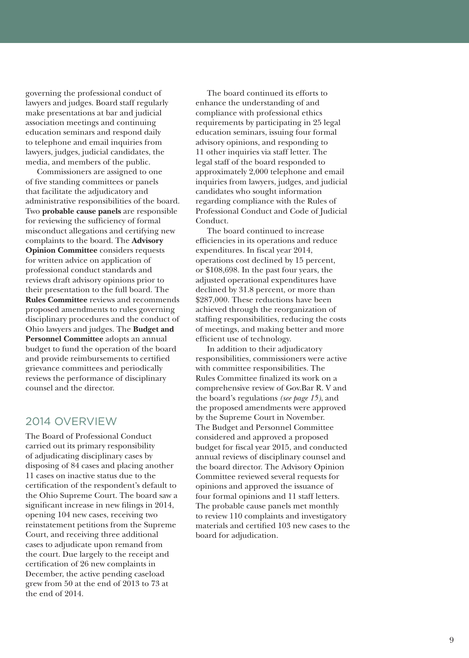governing the professional conduct of lawyers and judges. Board staff regularly make presentations at bar and judicial association meetings and continuing education seminars and respond daily to telephone and email inquiries from lawyers, judges, judicial candidates, the media, and members of the public.

Commissioners are assigned to one of five standing committees or panels that facilitate the adjudicatory and administrative responsibilities of the board. Two **probable cause panels** are responsible for reviewing the sufficiency of formal misconduct allegations and certifying new complaints to the board. The **Advisory Opinion Committee** considers requests for written advice on application of professional conduct standards and reviews draft advisory opinions prior to their presentation to the full board. The **Rules Committee** reviews and recommends proposed amendments to rules governing disciplinary procedures and the conduct of Ohio lawyers and judges. The **Budget and Personnel Committee** adopts an annual budget to fund the operation of the board and provide reimbursements to certified grievance committees and periodically reviews the performance of disciplinary counsel and the director.

### 2014 OVERVIEW

The Board of Professional Conduct carried out its primary responsibility of adjudicating disciplinary cases by disposing of 84 cases and placing another 11 cases on inactive status due to the certification of the respondent's default to the Ohio Supreme Court. The board saw a significant increase in new filings in 2014, opening 104 new cases, receiving two reinstatement petitions from the Supreme Court, and receiving three additional cases to adjudicate upon remand from the court. Due largely to the receipt and certification of 26 new complaints in December, the active pending caseload grew from 50 at the end of 2013 to 73 at the end of 2014.

The board continued its efforts to enhance the understanding of and compliance with professional ethics requirements by participating in 25 legal education seminars, issuing four formal advisory opinions, and responding to 11 other inquiries via staff letter. The legal staff of the board responded to approximately 2,000 telephone and email inquiries from lawyers, judges, and judicial candidates who sought information regarding compliance with the Rules of Professional Conduct and Code of Judicial Conduct.

The board continued to increase efficiencies in its operations and reduce expenditures. In fiscal year 2014, operations cost declined by 15 percent, or \$108,698. In the past four years, the adjusted operational expenditures have declined by 31.8 percent, or more than \$287,000. These reductions have been achieved through the reorganization of staffing responsibilities, reducing the costs of meetings, and making better and more efficient use of technology.

In addition to their adjudicatory responsibilities, commissioners were active with committee responsibilities. The Rules Committee finalized its work on a comprehensive review of Gov.Bar R. V and the board's regulations *(see page 15)*, and the proposed amendments were approved by the Supreme Court in November. The Budget and Personnel Committee considered and approved a proposed budget for fiscal year 2015, and conducted annual reviews of disciplinary counsel and the board director. The Advisory Opinion Committee reviewed several requests for opinions and approved the issuance of four formal opinions and 11 staff letters. The probable cause panels met monthly to review 110 complaints and investigatory materials and certified 103 new cases to the board for adjudication.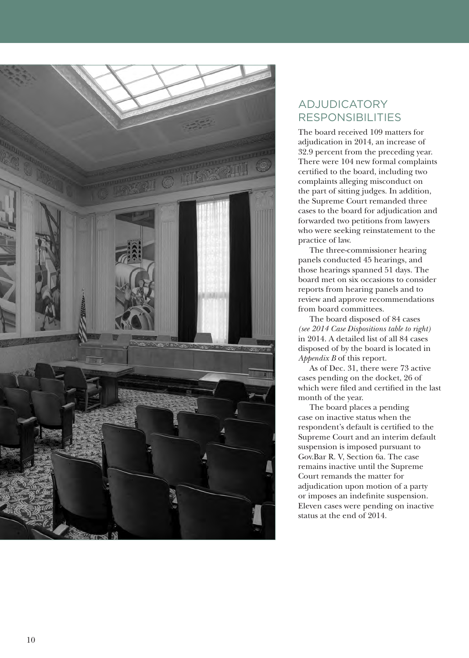

## ADJUDICATORY RESPONSIBILITIES

The board received 109 matters for adjudication in 2014, an increase of 32.9 percent from the preceding year. There were 104 new formal complaints certified to the board, including two complaints alleging misconduct on the part of sitting judges. In addition, the Supreme Court remanded three cases to the board for adjudication and forwarded two petitions from lawyers who were seeking reinstatement to the practice of law.

The three-commissioner hearing panels conducted 45 hearings, and those hearings spanned 51 days. The board met on six occasions to consider reports from hearing panels and to review and approve recommendations from board committees.

The board disposed of 84 cases *(see 2014 Case Dispositions table to right)*  in 2014. A detailed list of all 84 cases disposed of by the board is located in *Appendix B* of this report.

As of Dec. 31, there were 73 active cases pending on the docket, 26 of which were filed and certified in the last month of the year.

The board places a pending case on inactive status when the respondent's default is certified to the Supreme Court and an interim default suspension is imposed pursuant to Gov.Bar R. V, Section 6a. The case remains inactive until the Supreme Court remands the matter for adjudication upon motion of a party or imposes an indefinite suspension. Eleven cases were pending on inactive status at the end of 2014.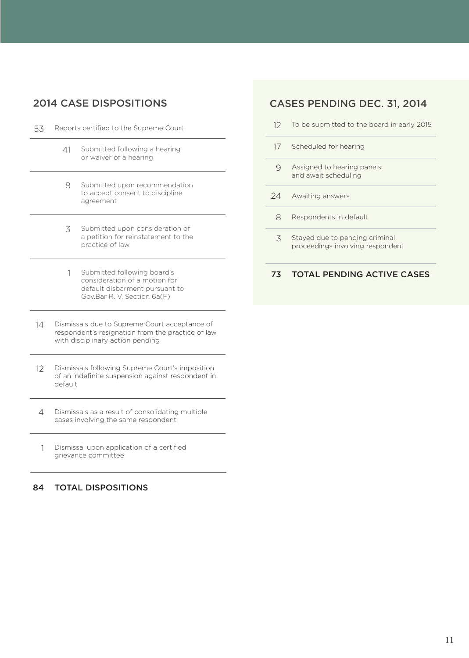## 2014 CASE DISPOSITIONS

| 53             |                                                                                                                 | Reports certified to the Supreme Court                                                                                                 |  |
|----------------|-----------------------------------------------------------------------------------------------------------------|----------------------------------------------------------------------------------------------------------------------------------------|--|
|                | 41                                                                                                              | Submitted following a hearing<br>or waiver of a hearing                                                                                |  |
|                | 8                                                                                                               | Submitted upon recommendation<br>to accept consent to discipline<br>agreement                                                          |  |
|                | 3                                                                                                               | Submitted upon consideration of<br>a petition for reinstatement to the<br>practice of law                                              |  |
|                | 1                                                                                                               | Submitted following board's<br>consideration of a motion for<br>default disbarment pursuant to<br>Gov.Bar R. V, Section 6a(F)          |  |
| 14             |                                                                                                                 | Dismissals due to Supreme Court acceptance of<br>respondent's resignation from the practice of law<br>with disciplinary action pending |  |
| 12             | Dismissals following Supreme Court's imposition<br>of an indefinite suspension against respondent in<br>default |                                                                                                                                        |  |
| $\overline{4}$ |                                                                                                                 | Dismissals as a result of consolidating multiple<br>cases involving the same respondent                                                |  |
| 1              |                                                                                                                 | Dismissal upon application of a certified<br>grievance committee                                                                       |  |

#### 84 TOTAL DISPOSITIONS

## CASES PENDING DEC. 31, 2014

- 12 To be submitted to the board in early 2015
- 17 Scheduled for hearing
- 9 Assigned to hearing panels and await scheduling
- 24 Awaiting answers
	- 8 Respondents in default
	- 3 Stayed due to pending criminal proceedings involving respondent

### 73 TOTAL PENDING ACTIVE CASES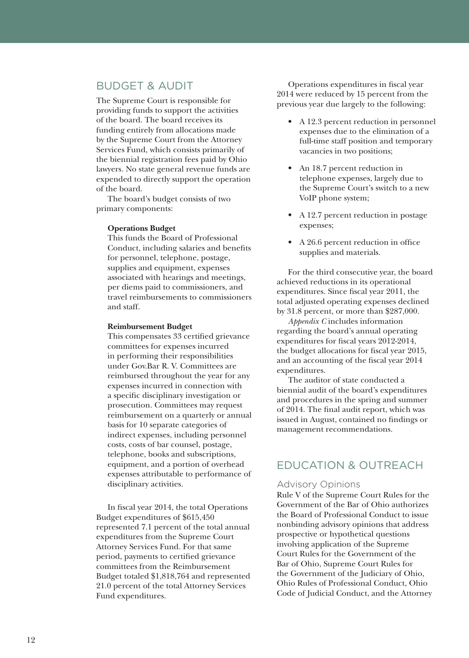## BUDGET & AUDIT

The Supreme Court is responsible for providing funds to support the activities of the board. The board receives its funding entirely from allocations made by the Supreme Court from the Attorney Services Fund, which consists primarily of the biennial registration fees paid by Ohio lawyers. No state general revenue funds are expended to directly support the operation of the board.

The board's budget consists of two primary components:

#### **Operations Budget**

This funds the Board of Professional Conduct, including salaries and benefits for personnel, telephone, postage, supplies and equipment, expenses associated with hearings and meetings, per diems paid to commissioners, and travel reimbursements to commissioners and staff.

#### **Reimbursement Budget**

This compensates 33 certified grievance committees for expenses incurred in performing their responsibilities under Gov.Bar R. V. Committees are reimbursed throughout the year for any expenses incurred in connection with a specific disciplinary investigation or prosecution. Committees may request reimbursement on a quarterly or annual basis for 10 separate categories of indirect expenses, including personnel costs, costs of bar counsel, postage, telephone, books and subscriptions, equipment, and a portion of overhead expenses attributable to performance of disciplinary activities.

In fiscal year 2014, the total Operations Budget expenditures of \$615,450 represented 7.1 percent of the total annual expenditures from the Supreme Court Attorney Services Fund. For that same period, payments to certified grievance committees from the Reimbursement Budget totaled \$1,818,764 and represented 21.0 percent of the total Attorney Services Fund expenditures.

Operations expenditures in fiscal year 2014 were reduced by 15 percent from the previous year due largely to the following:

- • A 12.3 percent reduction in personnel expenses due to the elimination of a full-time staff position and temporary vacancies in two positions;
- An 18.7 percent reduction in telephone expenses, largely due to the Supreme Court's switch to a new VoIP phone system;
- A 12.7 percent reduction in postage expenses;
- A 26.6 percent reduction in office supplies and materials.

For the third consecutive year, the board achieved reductions in its operational expenditures. Since fiscal year 2011, the total adjusted operating expenses declined by 31.8 percent, or more than \$287,000.

*Appendix C* includes information regarding the board's annual operating expenditures for fiscal years 2012-2014, the budget allocations for fiscal year 2015, and an accounting of the fiscal year 2014 expenditures.

The auditor of state conducted a biennial audit of the board's expenditures and procedures in the spring and summer of 2014. The final audit report, which was issued in August, contained no findings or management recommendations.

### EDUCATION & OUTREACH

#### Advisory Opinions

Rule V of the Supreme Court Rules for the Government of the Bar of Ohio authorizes the Board of Professional Conduct to issue nonbinding advisory opinions that address prospective or hypothetical questions involving application of the Supreme Court Rules for the Government of the Bar of Ohio, Supreme Court Rules for the Government of the Judiciary of Ohio, Ohio Rules of Professional Conduct, Ohio Code of Judicial Conduct, and the Attorney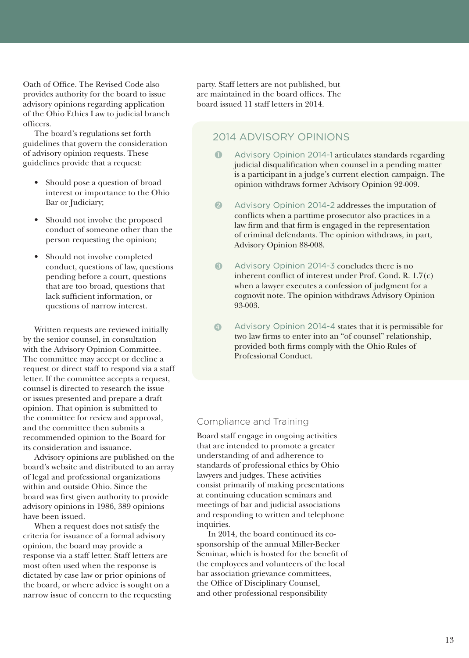Oath of Office. The Revised Code also provides authority for the board to issue advisory opinions regarding application of the Ohio Ethics Law to judicial branch officers.

The board's regulations set forth guidelines that govern the consideration of advisory opinion requests. These guidelines provide that a request:

- Should pose a question of broad interest or importance to the Ohio Bar or Judiciary;
- Should not involve the proposed conduct of someone other than the person requesting the opinion;
- Should not involve completed conduct, questions of law, questions pending before a court, questions that are too broad, questions that lack sufficient information, or questions of narrow interest.

Written requests are reviewed initially by the senior counsel, in consultation with the Advisory Opinion Committee. The committee may accept or decline a request or direct staff to respond via a staff letter. If the committee accepts a request, counsel is directed to research the issue or issues presented and prepare a draft opinion. That opinion is submitted to the committee for review and approval, and the committee then submits a recommended opinion to the Board for its consideration and issuance.

Advisory opinions are published on the board's website and distributed to an array of legal and professional organizations within and outside Ohio. Since the board was first given authority to provide advisory opinions in 1986, 389 opinions have been issued.

When a request does not satisfy the criteria for issuance of a formal advisory opinion, the board may provide a response via a staff letter. Staff letters are most often used when the response is dictated by case law or prior opinions of the board, or where advice is sought on a narrow issue of concern to the requesting party. Staff letters are not published, but are maintained in the board offices. The board issued 11 staff letters in 2014.

### 2014 ADVISORY OPINIONS

- Advisory Opinion 2014-1 articulates standards regarding judicial disqualification when counsel in a pending matter is a participant in a judge's current election campaign. The opinion withdraws former Advisory Opinion 92-009.  $\bullet$
- Advisory Opinion 2014-2 addresses the imputation of conflicts when a parttime prosecutor also practices in a law firm and that firm is engaged in the representation of criminal defendants. The opinion withdraws, in part, Advisory Opinion 88-008.  $\bullet$
- Advisory Opinion 2014-3 concludes there is no inherent conflict of interest under Prof. Cond. R. 1.7(c) when a lawyer executes a confession of judgment for a cognovit note. The opinion withdraws Advisory Opinion 93-003.  $\bullet$
- Advisory Opinion 2014-4 states that it is permissible for two law firms to enter into an "of counsel" relationship, provided both firms comply with the Ohio Rules of Professional Conduct.  $\bullet$

### Compliance and Training

Board staff engage in ongoing activities that are intended to promote a greater understanding of and adherence to standards of professional ethics by Ohio lawyers and judges. These activities consist primarily of making presentations at continuing education seminars and meetings of bar and judicial associations and responding to written and telephone inquiries.

In 2014, the board continued its cosponsorship of the annual Miller-Becker Seminar, which is hosted for the benefit of the employees and volunteers of the local bar association grievance committees, the Office of Disciplinary Counsel, and other professional responsibility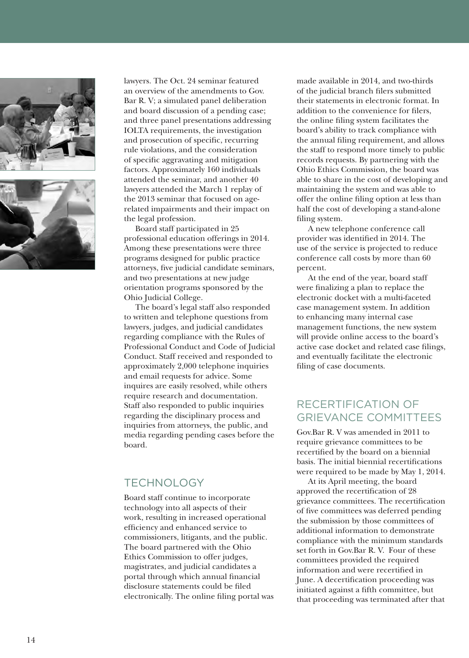



lawyers. The Oct. 24 seminar featured an overview of the amendments to Gov. Bar R. V; a simulated panel deliberation and board discussion of a pending case; and three panel presentations addressing IOLTA requirements, the investigation and prosecution of specific, recurring rule violations, and the consideration of specific aggravating and mitigation factors. Approximately 160 individuals attended the seminar, and another 40 lawyers attended the March 1 replay of the 2013 seminar that focused on agerelated impairments and their impact on the legal profession.

Board staff participated in 25 professional education offerings in 2014. Among these presentations were three programs designed for public practice attorneys, five judicial candidate seminars, and two presentations at new judge orientation programs sponsored by the Ohio Judicial College.

The board's legal staff also responded to written and telephone questions from lawyers, judges, and judicial candidates regarding compliance with the Rules of Professional Conduct and Code of Judicial Conduct. Staff received and responded to approximately 2,000 telephone inquiries and email requests for advice. Some inquires are easily resolved, while others require research and documentation. Staff also responded to public inquiries regarding the disciplinary process and inquiries from attorneys, the public, and media regarding pending cases before the board.

## **TECHNOLOGY**

Board staff continue to incorporate technology into all aspects of their work, resulting in increased operational efficiency and enhanced service to commissioners, litigants, and the public. The board partnered with the Ohio Ethics Commission to offer judges, magistrates, and judicial candidates a portal through which annual financial disclosure statements could be filed electronically. The online filing portal was

made available in 2014, and two-thirds of the judicial branch filers submitted their statements in electronic format. In addition to the convenience for filers, the online filing system facilitates the board's ability to track compliance with the annual filing requirement, and allows the staff to respond more timely to public records requests. By partnering with the Ohio Ethics Commission, the board was able to share in the cost of developing and maintaining the system and was able to offer the online filing option at less than half the cost of developing a stand-alone filing system.

A new telephone conference call provider was identified in 2014. The use of the service is projected to reduce conference call costs by more than 60 percent.

At the end of the year, board staff were finalizing a plan to replace the electronic docket with a multi-faceted case management system. In addition to enhancing many internal case management functions, the new system will provide online access to the board's active case docket and related case filings, and eventually facilitate the electronic filing of case documents.

## RECERTIFICATION OF GRIEVANCE COMMITTEES

Gov.Bar R. V was amended in 2011 to require grievance committees to be recertified by the board on a biennial basis. The initial biennial recertifications were required to be made by May 1, 2014.

At its April meeting, the board approved the recertification of 28 grievance committees. The recertification of five committees was deferred pending the submission by those committees of additional information to demonstrate compliance with the minimum standards set forth in Gov.Bar R. V. Four of these committees provided the required information and were recertified in June. A decertification proceeding was initiated against a fifth committee, but that proceeding was terminated after that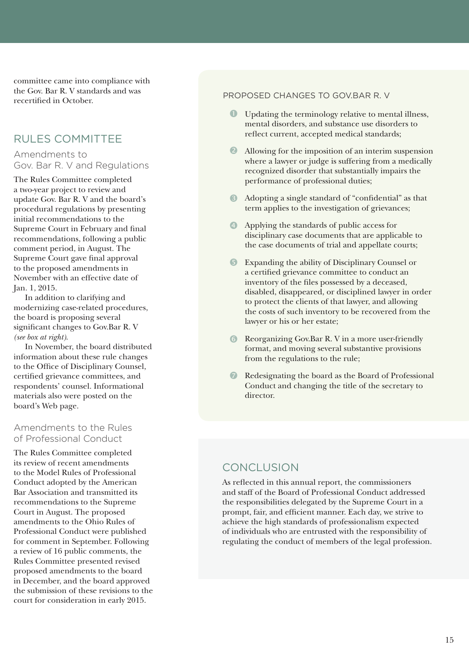committee came into compliance with the Gov. Bar R. V standards and was recertified in October.

## RULES COMMITTEE

Amendments to Gov. Bar R. V and Regulations

The Rules Committee completed a two-year project to review and update Gov. Bar R. V and the board's procedural regulations by presenting initial recommendations to the Supreme Court in February and final recommendations, following a public comment period, in August. The Supreme Court gave final approval to the proposed amendments in November with an effective date of Jan. 1, 2015.

In addition to clarifying and modernizing case-related procedures, the board is proposing several significant changes to Gov.Bar R. V *(see box at right)*.

In November, the board distributed information about these rule changes to the Office of Disciplinary Counsel, certified grievance committees, and respondents' counsel. Informational materials also were posted on the board's Web page.

### Amendments to the Rules of Professional Conduct

The Rules Committee completed its review of recent amendments to the Model Rules of Professional Conduct adopted by the American Bar Association and transmitted its recommendations to the Supreme Court in August. The proposed amendments to the Ohio Rules of Professional Conduct were published for comment in September. Following a review of 16 public comments, the Rules Committee presented revised proposed amendments to the board in December, and the board approved the submission of these revisions to the court for consideration in early 2015.

#### PROPOSED CHANGES TO GOV BAR R. V.

- Updating the terminology relative to mental illness, mental disorders, and substance use disorders to reflect current, accepted medical standards;
- Allowing for the imposition of an interim suspension where a lawyer or judge is suffering from a medically recognized disorder that substantially impairs the performance of professional duties;
- Adopting a single standard of "confidential" as that term applies to the investigation of grievances;
- Applying the standards of public access for disciplinary case documents that are applicable to the case documents of trial and appellate courts;  $\bigodot$
- Expanding the ability of Disciplinary Counsel or a certified grievance committee to conduct an inventory of the files possessed by a deceased, disabled, disappeared, or disciplined lawyer in order to protect the clients of that lawyer, and allowing the costs of such inventory to be recovered from the lawyer or his or her estate;
- Reorganizing Gov.Bar R. V in a more user-friendly format, and moving several substantive provisions from the regulations to the rule;
- Redesignating the board as the Board of Professional Conduct and changing the title of the secretary to director.  $\bullet$

## **CONCLUSION**

As reflected in this annual report, the commissioners and staff of the Board of Professional Conduct addressed the responsibilities delegated by the Supreme Court in a prompt, fair, and efficient manner. Each day, we strive to achieve the high standards of professionalism expected of individuals who are entrusted with the responsibility of regulating the conduct of members of the legal profession.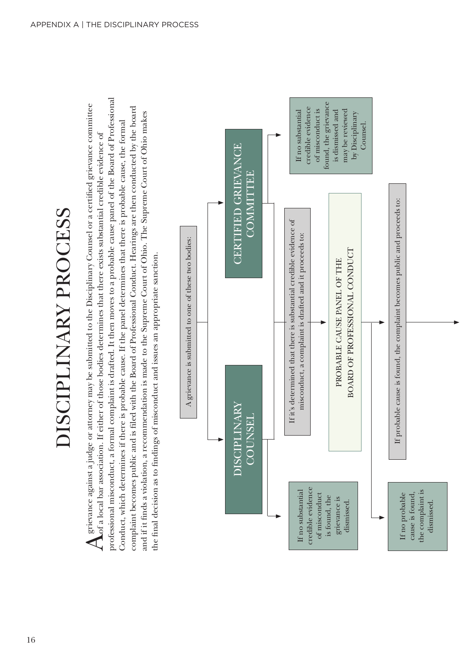professional misconduct, a formal complaint is drafted. It then moves to a probable cause panel of the Board of Professional professional misconduct, a formal complaint is drafted. It then moves to a probable cause panel of the Board of Professional  $\Lambda$  grievance against a judge or attorney may be submitted to the Disciplinary Counsel or a certified grievance committee  $\Lambda$  of a local bar association. If either of those bodies determines that there exists substantia  $\Delta$  grievance against a judge or attorney may be submitted to the Disciplinary Counsel or a certified grievance committee  $\Delta$  of a local bar association. If either of those bodies determines that there exists substantia complaint becomes public and is filed with the Board of Professional Conduct. Hearings are then conducted by the board complaint becomes public and is filed with the Board of Professional Conduct. Hearings are then conducted by the board and if it finds a violation, a recommendation is made to the Supreme Court of Ohio. The Supreme Court of Ohio makes and if it finds a violation, a recommendation is made to the Supreme Court of Ohio. The Supreme Court of Ohio makes Conduct, which determines if there is probable cause. If the panel determines that there is probable cause, the formal Conduct, which determines if there is probable cause. If the panel determines that there is probable cause, the formal the final decision as to findings of misconduct and issues an appropriate sanction. the final decision as to findings of misconduct and issues an appropriate sanction.

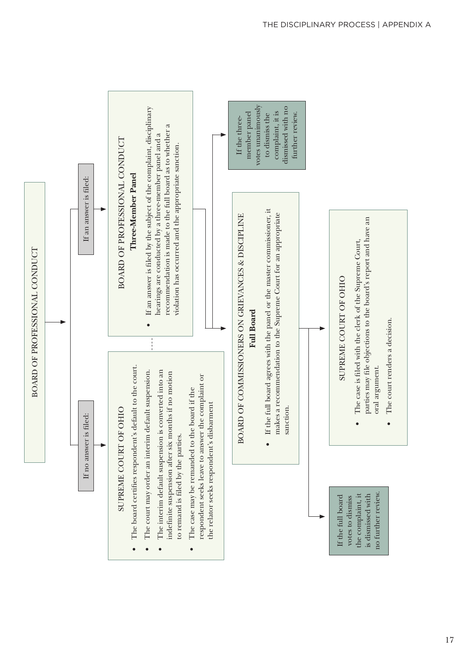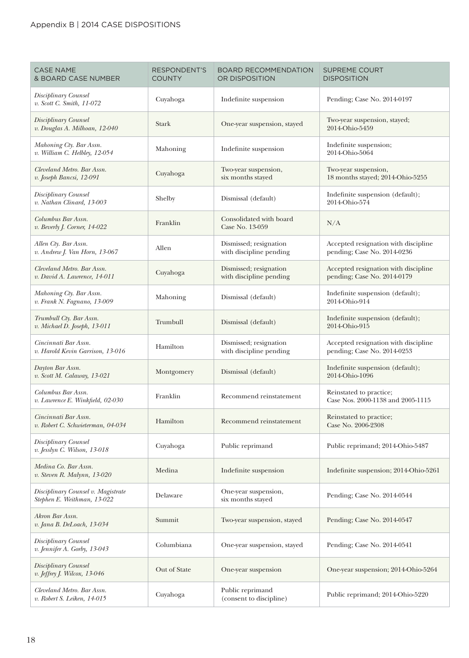#### Appendix B | 2014 CASE DISPOSITIONS

| <b>CASE NAME</b><br>& BOARD CASE NUMBER                           | RESPONDENT'S<br><b>COUNTY</b> | <b>BOARD RECOMMENDATION</b><br><b>SUPREME COURT</b><br>OR DISPOSITION<br><b>DISPOSITION</b> |                                                                     |
|-------------------------------------------------------------------|-------------------------------|---------------------------------------------------------------------------------------------|---------------------------------------------------------------------|
| Disciplinary Counsel<br>v. Scott C. Smith, 11-072                 | Cuyahoga                      | Indefinite suspension                                                                       | Pending; Case No. 2014-0197                                         |
| Disciplinary Counsel<br>v. Douglas A. Milhoan, 12-040             | Stark                         | One-year suspension, stayed                                                                 | Two-year suspension, stayed;<br>2014-Ohio-5459                      |
| Mahoning Cty. Bar Assn.<br>v. William C. Helbley, 12-054          | Mahoning                      | Indefinite suspension                                                                       | Indefinite suspension;<br>2014-Ohio-5064                            |
| Cleveland Metro. Bar Assn.<br>v. Joseph Bancsi, 12-091            | Cuyahoga                      | Two-year suspension,<br>six months stayed                                                   | Two-year suspension,<br>18 months stayed; 2014-Ohio-5255            |
| Disciplinary Counsel<br>v. Nathan Clinard, 13-003                 | Shelby                        | Dismissal (default)                                                                         | Indefinite suspension (default);<br>2014-Ohio-574                   |
| Columbus Bar Assn.<br>v. Beverly J. Corner, 14-022                | Franklin                      | Consolidated with board<br>Case No. 13-059                                                  | N/A                                                                 |
| Allen Cty. Bar Assn.<br>v. Andrew J. Van Horn, 13-067             | Allen                         | Dismissed; resignation<br>with discipline pending                                           | Accepted resignation with discipline<br>pending; Case No. 2014-0236 |
| Cleveland Metro. Bar Assn.<br>v. David A. Lawrence, 14-011        | Cuyahoga                      | Dismissed; resignation<br>with discipline pending                                           | Accepted resignation with discipline<br>pending; Case No. 2014-0179 |
| Mahoning Cty. Bar Assn.<br>v. Frank N. Fagnano, 13-009            | Mahoning                      | Dismissal (default)                                                                         | Indefinite suspension (default);<br>2014-Ohio-914                   |
| Trumbull Cty. Bar Assn.<br>v. Michael D. Joseph, 13-011           | Trumbull                      | Dismissal (default)                                                                         | Indefinite suspension (default);<br>2014-Ohio-915                   |
| Cincinnati Bar Assn.<br>v. Harold Kevin Garrison, 13-016          | Hamilton                      | Dismissed; resignation<br>with discipline pending                                           | Accepted resignation with discipline<br>pending; Case No. 2014-0253 |
| Dayton Bar Assn.<br>v. Scott M. Calaway, 13-021                   | Montgomery                    | Dismissal (default)                                                                         | Indefinite suspension (default);<br>2014-Ohio-1096                  |
| Columbus Bar Assn.<br>v. Lawrence E. Winkfield, 02-030            | Franklin                      | Recommend reinstatement                                                                     | Reinstated to practice;<br>Case Nos. 2000-1138 and 2005-1115        |
| Cincinnati Bar Assn.<br>v. Robert C. Schwieterman, 04-034         | Hamilton                      | Recommend reinstatement                                                                     | Reinstated to practice;<br>Case No. 2006-2308                       |
| Disciplinary Counsel<br>v. Jesslyn C. Wilson, 13-018              | Cuyahoga                      | Public reprimand                                                                            | Public reprimand; 2014-Ohio-5487                                    |
| Medina Co. Bar Assn.<br>v. Steven R. Malynn, 13-020               | Medina                        | Indefinite suspension                                                                       | Indefinite suspension; 2014-Ohio-5261                               |
| Disciplinary Counsel v. Magistrate<br>Stephen E. Weithman, 13-022 | Delaware                      | One-year suspension,<br>six months stayed                                                   | Pending; Case No. 2014-0544                                         |
| Akron Bar Assn.<br>v. Jana B. DeLoach, 13-034                     | Summit                        | Two-year suspension, stayed                                                                 | Pending; Case No. 2014-0547                                         |
| Disciplinary Counsel<br>$v.$ Jennifer A. Gorby, 13-043            | Columbiana                    | One-year suspension, stayed                                                                 | Pending; Case No. 2014-0541                                         |
| Disciplinary Counsel<br>v. Jeffrey J. Wilcox, 13-046              | Out of State                  | One-year suspension                                                                         | One-year suspension; 2014-Ohio-5264                                 |
| Cleveland Metro. Bar Assn.<br>v. Robert S. Leiken, 14-015         | Cuyahoga                      | Public reprimand<br>(consent to discipline)                                                 | Public reprimand; 2014-Ohio-5220                                    |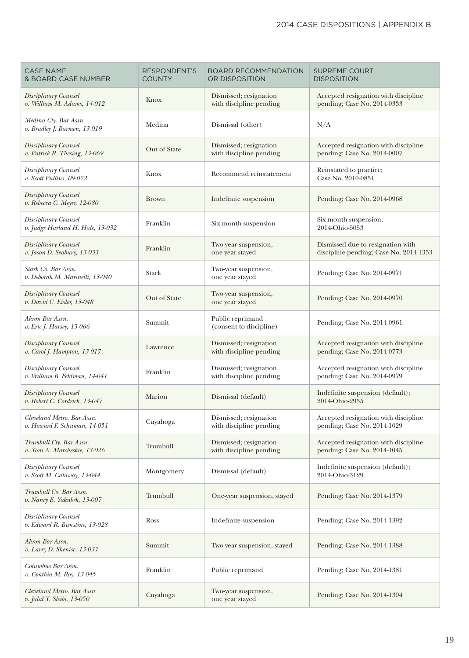| <b>CASE NAME</b><br>& BOARD CASE NUMBER                    | RESPONDENT'S<br><b>COUNTY</b> | <b>BOARD RECOMMENDATION</b><br>OR DISPOSITION     | <b>SUPREME COURT</b><br><b>DISPOSITION</b>                                  |
|------------------------------------------------------------|-------------------------------|---------------------------------------------------|-----------------------------------------------------------------------------|
| Disciplinary Counsel<br>v. William M. Adams, 14-012        | Knox                          | Dismissed; resignation<br>with discipline pending | Accepted resignation with discipline<br>pending; Case No. 2014-0333         |
| Medina Cty. Bar Assn.<br>v. Bradley J. Barmen, 13-019      | Medina                        | Dismissal (other)                                 | N/A                                                                         |
| Disciplinary Counsel<br>$v.$ Patrick R. Thesing, 13-069    | Out of State                  | Dismissed; resignation<br>with discipline pending | Accepted resignation with discipline<br>pending; Case No. 2014-0007         |
| Disciplinary Counsel<br>v. Scott Pullins, 09-022           | Knox                          | Recommend reinstatement                           | Reinstated to practice;<br>Case No. 2010-0851                               |
| Disciplinary Counsel<br>v. Rebecca C. Meyer, 12-080        | <b>Brown</b>                  | Indefinite suspension                             | Pending; Case No. 2014-0968                                                 |
| Disciplinary Counsel<br>v. Judge Harland H. Hale, 13-032   | Franklin                      | Six-month suspension                              | Six-month suspension;<br>2014-Ohio-5053                                     |
| Disciplinary Counsel<br>v. Jason D. Seabury, 13-033        | Franklin                      | Two-year suspension,<br>one year stayed           | Dismissed due to resignation with<br>discipline pending; Case No. 2014-1353 |
| Stark Co. Bar Assn.<br>v. Deborah M. Marinelli, 13-040     | <b>Stark</b>                  | Two-year suspension,<br>one year stayed           | Pending; Case No. 2014-0971                                                 |
| Disciplinary Counsel<br>v. David C. Eisler, 13-048         | Out of State                  | Two-year suspension,<br>one year stayed           | Pending; Case No. 2014-0970                                                 |
| Akron Bar Assn.<br>v. Eric J. Harsey, 13-066               | Summit                        | Public reprimand<br>(consent to discipline)       | Pending; Case No. 2014-0961                                                 |
| Disciplinary Counsel<br>v. Carol J. Hampton, 13-017        | Lawrence                      | Dismissed; resignation<br>with discipline pending | Accepted resignation with discipline<br>pending; Case No. 2014-0773         |
| Disciplinary Counsel<br>v. William B. Feldman, 14-041      | Franklin                      | Dismissed; resignation<br>with discipline pending | Accepted resignation with discipline<br>pending; Case No. 2014-0979         |
| Disciplinary Counsel<br>v. Robert C. Cordrick, 13-047      | Marion                        | Dismissal (default)                               | Indefinite suspension (default);<br>2014-Ohio-2955                          |
| Cleveland Metro. Bar Assn.<br>v. Howard F. Schuman, 14-051 | Cuyahoga                      | Dismissed; resignation<br>with discipline pending | Accepted resignation with discipline<br>pending; Case No. 2014-1029         |
| Trumbull Cty. Bar Assn.<br>v. Toni A. Marcheskie, 13-026   | Trumbull                      | Dismissed; resignation<br>with discipline pending | Accepted resignation with discipline<br>pending; Case No. 2014-1045         |
| Disciplinary Counsel<br>v. Scott M. Calaway, 13-044        | Montgomery                    | Dismissal (default)                               | Indefinite suspension (default);<br>2014-Ohio-3129                          |
| Trumbull Co. Bar Assn.<br>v. Nancy E. Yakubek, 13-007      | Trumbull                      | One-year suspension, stayed                       | Pending; Case No. 2014-1379                                                 |
| Disciplinary Counsel<br>v. Edward R. Bunstine, 13-028      | <b>Ross</b>                   | Indefinite suspension                             | Pending; Case No. 2014-1392                                                 |
| Akron Bar Assn.<br>$v.$ Larry D. Shenise, 13-037           | Summit                        | Two-year suspension, stayed                       | Pending; Case No. 2014-1388                                                 |
| Columbus Bar Assn.<br>v. Cynthia M. Roy, 13-045            | Franklin                      | Public reprimand                                  | Pending; Case No. 2014-1381                                                 |
| Cleveland Metro. Bar Assn.<br>v. Jalal T. Sleibi, 13-050   | Cuyahoga                      | Two-year suspension,<br>one year stayed           | Pending; Case No. 2014-1394                                                 |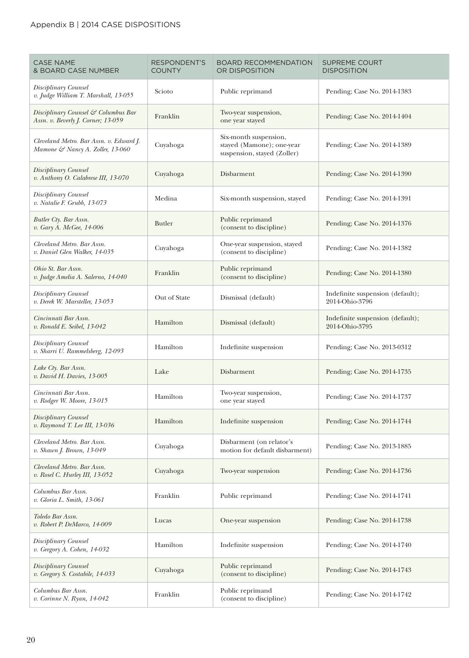#### Appendix B | 2014 CASE DISPOSITIONS

| <b>CASE NAME</b><br>& BOARD CASE NUMBER                                     | RESPONDENT'S<br><b>COUNTY</b> | <b>BOARD RECOMMENDATION</b><br>OR DISPOSITION                                     | <b>SUPREME COURT</b><br><b>DISPOSITION</b>         |
|-----------------------------------------------------------------------------|-------------------------------|-----------------------------------------------------------------------------------|----------------------------------------------------|
| Disciplinary Counsel<br>v. Judge William T. Marshall, 13-055                | Scioto                        | Public reprimand                                                                  | Pending; Case No. 2014-1383                        |
| Disciplinary Counsel & Columbus Bar<br>Assn. v. Beverly J. Corner; 13-059   | Franklin                      | Two-year suspension,<br>one year stayed                                           | Pending; Case No. 2014-1404                        |
| Cleveland Metro. Bar Assn. v. Edward J.<br>Mamone & Nancy A. Zoller, 13-060 | Cuyahoga                      | Six-month suspension,<br>stayed (Mamone); one-year<br>suspension, stayed (Zoller) | Pending; Case No. 2014-1389                        |
| Disciplinary Counsel<br>v. Anthony O. Calabrese III, 13-070                 | Cuyahoga                      | Disbarment                                                                        | Pending; Case No. 2014-1390                        |
| Disciplinary Counsel<br>$v.$ Natalie F. Grubb, 13-073                       | Medina                        | Six-month suspension, stayed                                                      | Pending; Case No. 2014-1391                        |
| Butler Cty. Bar Assn.<br>v. Gary A. McGee, 14-006                           | <b>Butler</b>                 | Public reprimand<br>(consent to discipline)                                       | Pending; Case No. 2014-1376                        |
| Cleveland Metro. Bar Assn.<br>v. Daniel Glen Walker, 14-035                 | Cuyahoga                      | One-year suspension, stayed<br>(consent to discipline)                            | Pending; Case No. 2014-1382                        |
| Ohio St. Bar Assn.<br>v. Judge Amelia A. Salerno, 14-040                    | Franklin                      | Public reprimand<br>(consent to discipline)                                       | Pending; Case No. 2014-1380                        |
| Disciplinary Counsel<br>v. Derek W. Marsteller, 13-053                      | Out of State                  | Dismissal (default)                                                               | Indefinite suspension (default);<br>2014-Ohio-3796 |
| Cincinnati Bar Assn.<br>v. Ronald E. Seibel, 13-042                         | Hamilton                      | Dismissal (default)                                                               | Indefinite suspension (default);<br>2014-Ohio-3795 |
| Disciplinary Counsel<br>v. Sharri U. Rammelsberg, 12-093                    | Hamilton                      | Indefinite suspension                                                             | Pending; Case No. 2013-0312                        |
| Lake Cty. Bar Assn.<br>v. David H. Davies, 13-005                           | Lake                          | Disbarment                                                                        | Pending; Case No. 2014-1735                        |
| Cincinnati Bar Assn.<br>v. Rodger W. Moore, 13-015                          | Hamilton                      | Two-year suspension,<br>one year stayed                                           | Pending; Case No. 2014-1737                        |
| Disciplinary Counsel<br>v. Raymond T. Lee III, 13-036                       | Hamilton                      | Indefinite suspension                                                             | Pending; Case No. 2014-1744                        |
| Cleveland Metro. Bar Assn.<br>v. Shawn J. Brown, 13-049                     | Cuyahoga                      | Disbarment (on relator's<br>motion for default disbarment)                        | Pending; Case No. 2013-1885                        |
| Cleveland Metro. Bar Assn.<br>v. Rosel C. Hurley III, 13-052                | Cuyahoga                      | Two-year suspension                                                               | Pending; Case No. 2014-1736                        |
| Columbus Bar Assn.<br>v. Gloria L. Smith, 13-061                            | Franklin                      | Public reprimand                                                                  | Pending; Case No. 2014-1741                        |
| Toledo Bar Assn.<br>v. Robert P. DeMarco, 14-009                            | Lucas                         | One-year suspension                                                               | Pending; Case No. 2014-1738                        |
| Disciplinary Counsel<br>v. Gregory A. Cohen, 14-032                         | Hamilton                      | Indefinite suspension                                                             | Pending; Case No. 2014-1740                        |
| Disciplinary Counsel<br>v. Gregory S. Costabile, 14-033                     | Cuyahoga                      | Public reprimand<br>(consent to discipline)                                       | Pending; Case No. 2014-1743                        |
| Columbus Bar Assn.<br>v. Corinne N. Ryan, 14-042                            | Franklin                      | Public reprimand<br>(consent to discipline)                                       | Pending; Case No. 2014-1742                        |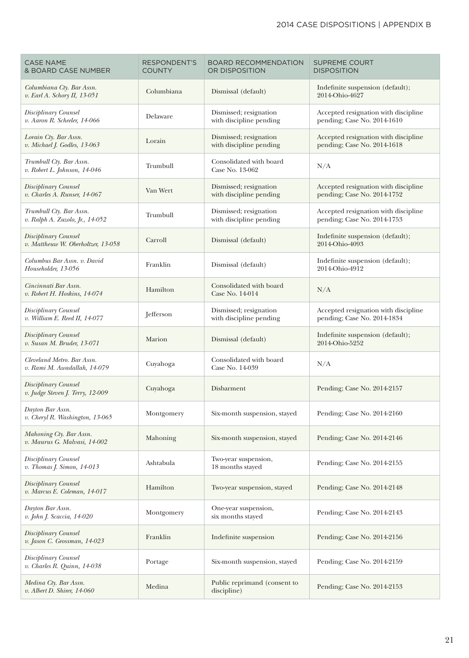| <b>CASE NAME</b><br>& BOARD CASE NUMBER                    | RESPONDENT'S<br><b>COUNTY</b> | <b>BOARD RECOMMENDATION</b><br>OR DISPOSITION     | <b>SUPREME COURT</b><br><b>DISPOSITION</b>                          |
|------------------------------------------------------------|-------------------------------|---------------------------------------------------|---------------------------------------------------------------------|
| Columbiana Cty. Bar Assn.<br>v. Earl A. Schory II, 13-051  | Columbiana                    | Dismissal (default)                               | Indefinite suspension (default);<br>2014-Ohio-4627                  |
| Disciplinary Counsel<br>v. Aaron R. Scheeler, 14-066       | Delaware                      | Dismissed; resignation<br>with discipline pending | Accepted resignation with discipline<br>pending; Case No. 2014-1610 |
| Lorain Cty. Bar Assn.<br>v. Michael J. Godles, 13-063      | Lorain                        | Dismissed; resignation<br>with discipline pending | Accepted resignation with discipline<br>pending; Case No. 2014-1618 |
| Trumbull Cty. Bar Assn.<br>v. Robert L. Johnson, 14-046    | Trumbull                      | Consolidated with board<br>Case No. 13-062        | N/A                                                                 |
| Disciplinary Counsel<br>v. Charles A. Runser, 14-067       | Van Wert                      | Dismissed; resignation<br>with discipline pending | Accepted resignation with discipline<br>pending; Case No. 2014-1752 |
| Trumbull Cty. Bar Assn.<br>v. Ralph A. Zuzolo, Jr., 14-052 | Trumbull                      | Dismissed; resignation<br>with discipline pending | Accepted resignation with discipline<br>pending; Case No. 2014-1753 |
| Disciplinary Counsel<br>v. Mattheuw W. Oberholtzer, 13-058 | Carroll                       | Dismissal (default)                               | Indefinite suspension (default);<br>2014-Ohio-4093                  |
| Columbus Bar Assn. v. David<br>Householder, 13-056         | Franklin                      | Dismissal (default)                               | Indefinite suspension (default);<br>2014-Ohio-4912                  |
| Cincinnati Bar Assn.<br>v. Robert H. Hoskins, 14-074       | Hamilton                      | Consolidated with board<br>Case No. 14-014        | N/A                                                                 |
| Disciplinary Counsel<br>v. William E. Reed II, 14-077      | <b>J</b> efferson             | Dismissed; resignation<br>with discipline pending | Accepted resignation with discipline<br>pending; Case No. 2014-1834 |
| Disciplinary Counsel<br>v. Susan M. Bruder, 13-071         | Marion                        | Dismissal (default)                               | Indefinite suspension (default);<br>2014-Ohio-5252                  |
| Cleveland Metro. Bar Assn.<br>v. Rami M. Awadallah, 14-079 | Cuyahoga                      | Consolidated with board<br>Case No. 14-039        | N/A                                                                 |
| Disciplinary Counsel<br>v. Judge Steven J. Terry, 12-009   | Cuyahoga                      | Disbarment                                        | Pending; Case No. 2014-2157                                         |
| Dayton Bar Assn.<br>v. Cheryl R. Washington, 13-065        | Montgomery                    | Six-month suspension, stayed                      | Pending; Case No. 2014-2160                                         |
| Mahoning Cty. Bar Assn.<br>v. Maurus G. Malvasi, 14-002    | Mahoning                      | Six-month suspension, stayed                      | Pending; Case No. 2014-2146                                         |
| Disciplinary Counsel<br>v. Thomas J. Simon, 14-013         | Ashtabula                     | Two-year suspension,<br>18 months stayed          | Pending; Case No. 2014-2155                                         |
| Disciplinary Counsel<br>v. Marcus E. Coleman, 14-017       | Hamilton                      | Two-year suspension, stayed                       | Pending; Case No. 2014-2148                                         |
| Dayton Bar Assn.<br>v. John J. Scaccia, 14-020             | Montgomery                    | One-year suspension,<br>six months stayed         | Pending; Case No. 2014-2143                                         |
| Disciplinary Counsel<br>v. Jason C. Grossman, 14-023       | Franklin                      | Indefinite suspension                             | Pending; Case No. 2014-2156                                         |
| Disciplinary Counsel<br>v. Charles R. Quinn, 14-038        | Portage                       | Six-month suspension, stayed                      | Pending; Case No. 2014-2159                                         |
| Medina Cty. Bar Assn.<br>$v.$ Albert D. Shirer, 14-060     | Medina                        | Public reprimand (consent to<br>discipline)       | Pending; Case No. 2014-2153                                         |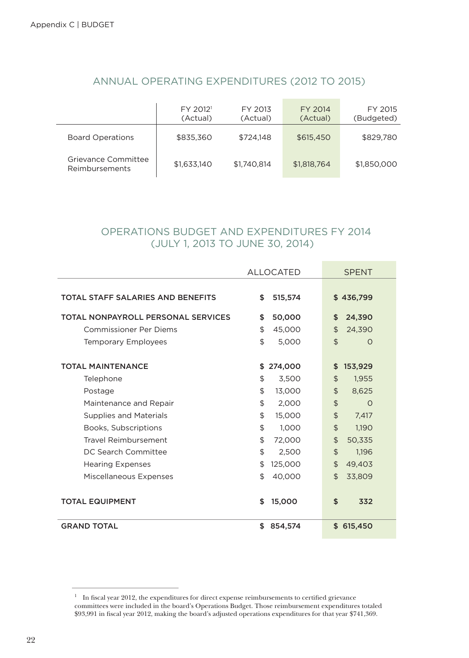## ANNUAL OPERATING EXPENDITURES (2012 TO 2015)

|                                       | FY 2012 <sup>1</sup><br>(Actual) | FY 2013<br>(Actual) | FY 2014<br>(Actual) | FY 2015<br>(Budgeted) |
|---------------------------------------|----------------------------------|---------------------|---------------------|-----------------------|
| <b>Board Operations</b>               | \$835,360                        | \$724.148           | \$615,450           | \$829,780             |
| Grievance Committee<br>Reimbursements | \$1,633,140                      | \$1,740,814         | \$1,818,764         | \$1,850,000           |

## OPERATIONS BUDGET AND EXPENDITURES FY 2014 (JULY 1, 2013 TO JUNE 30, 2014)

|                                          | <b>ALLOCATED</b> | <b>SPENT</b>             |
|------------------------------------------|------------------|--------------------------|
|                                          |                  |                          |
| <b>TOTAL STAFF SALARIES AND BENEFITS</b> | \$<br>515,574    | \$436,799                |
| TOTAL NONPAYROLL PERSONAL SERVICES       | \$<br>50,000     | \$<br>24,390             |
| <b>Commissioner Per Diems</b>            | \$<br>45,000     | $\frac{2}{3}$<br>24,390  |
| <b>Temporary Employees</b>               | \$<br>5,000      | $\mathfrak{P}$<br>O      |
| <b>TOTAL MAINTENANCE</b>                 | 274,000<br>\$    | 153,929<br>\$            |
|                                          | \$               |                          |
| Telephone                                | 3,500            | $\frac{2}{3}$<br>1,955   |
| Postage                                  | \$<br>13,000     | $\frac{2}{3}$<br>8,625   |
| Maintenance and Repair                   | \$<br>2,000      | $\frac{1}{2}$<br>$\circ$ |
| <b>Supplies and Materials</b>            | \$<br>15,000     | $\updownarrow$<br>7,417  |
| Books, Subscriptions                     | \$<br>1,000      | $\frac{1}{2}$<br>1,190   |
| <b>Travel Reimbursement</b>              | \$<br>72,000     | $\frac{1}{2}$<br>50,335  |
| DC Search Committee                      | \$<br>2,500      | $\updownarrow$<br>1,196  |
| <b>Hearing Expenses</b>                  | 125,000<br>\$    | \$<br>49,403             |
| Miscellaneous Expenses                   | 40,000<br>\$     | $\mathfrak{P}$<br>33,809 |
|                                          |                  |                          |
| <b>TOTAL EQUIPMENT</b>                   | 15,000<br>\$     | \$<br>332                |
| <b>GRAND TOTAL</b>                       | \$<br>854,574    | \$615,450                |

<sup>&</sup>lt;sup>1</sup> In fiscal year 2012, the expenditures for direct expense reimbursements to certified grievance committees were included in the board's Operations Budget. Those reimbursement expenditures totaled \$93,991 in fiscal year 2012, making the board's adjusted operations expenditures for that year \$741,369.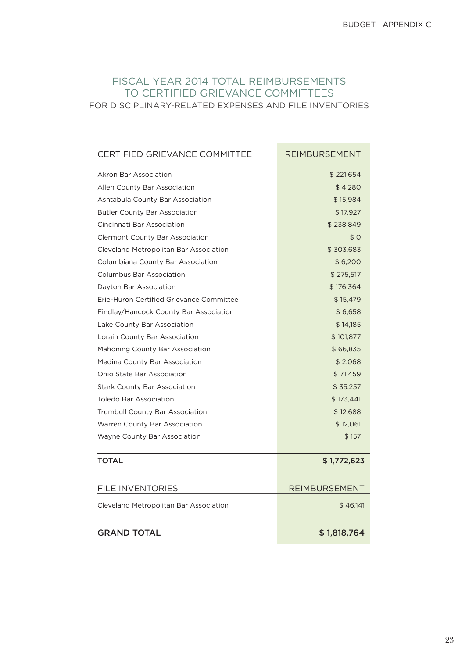## FISCAL YEAR 2014 TOTAL REIMBURSEMENTS TO CERTIFIED GRIEVANCE COMMITTEES FOR DISCIPLINARY-RELATED EXPENSES AND FILE INVENTORIES

| <b>GRAND TOTAL</b>                       | \$1,818,764          |
|------------------------------------------|----------------------|
| Cleveland Metropolitan Bar Association   | \$46,141             |
| <b>FILE INVENTORIES</b>                  | <b>REIMBURSEMENT</b> |
| <b>TOTAL</b>                             | \$1,772,623          |
| Wayne County Bar Association             | \$157                |
| Warren County Bar Association            | \$12,061             |
| Trumbull County Bar Association          | \$12,688             |
| Toledo Bar Association                   | \$173,441            |
| Stark County Bar Association             | \$35,257             |
| Ohio State Bar Association               | \$71,459             |
| Medina County Bar Association            | \$2,068              |
| Mahoning County Bar Association          | \$66,835             |
| Lorain County Bar Association            | \$101,877            |
| Lake County Bar Association              | \$14,185             |
| Findlay/Hancock County Bar Association   | \$6,658              |
| Erie-Huron Certified Grievance Committee | \$15,479             |
| Dayton Bar Association                   | \$176,364            |
| <b>Columbus Bar Association</b>          | \$275,517            |
| Columbiana County Bar Association        | \$6,200              |
| Cleveland Metropolitan Bar Association   | \$303,683            |
| <b>Clermont County Bar Association</b>   | \$0                  |
| Cincinnati Bar Association               | \$238,849            |
| <b>Butler County Bar Association</b>     | \$17,927             |
| Ashtabula County Bar Association         | \$15,984             |
| Allen County Bar Association             | \$4,280              |
| Akron Bar Association                    | \$221,654            |
| CERTIFIED GRIEVANCE COMMITTEE            | <b>REIMBURSEMENT</b> |
|                                          |                      |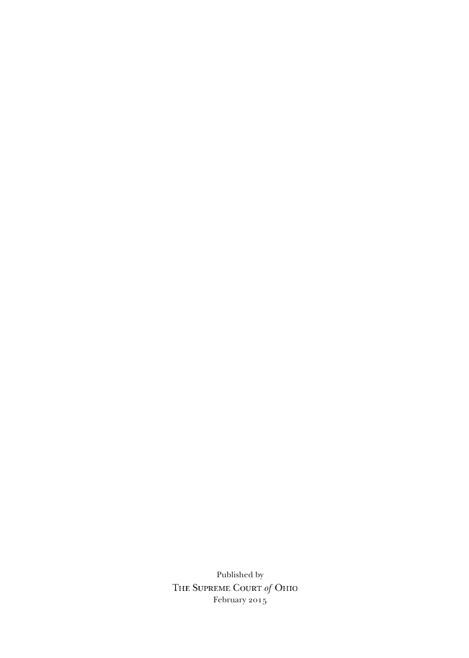Published by February 2015